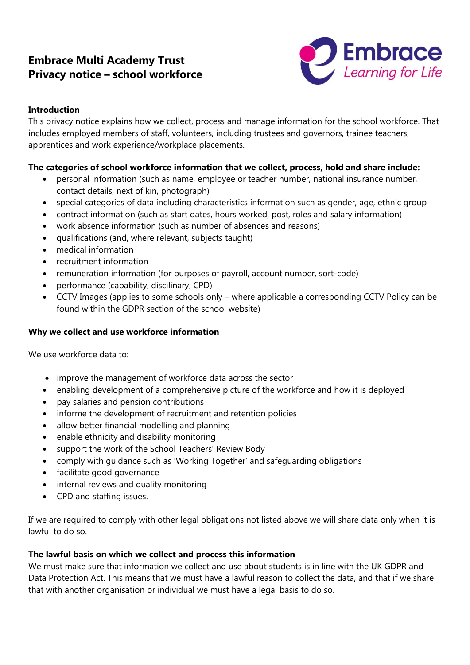# **Embrace Multi Academy Trust Privacy notice – school workforce**



# **Introduction**

This privacy notice explains how we collect, process and manage information for the school workforce. That includes employed members of staff, volunteers, including trustees and governors, trainee teachers, apprentices and work experience/workplace placements.

# **The categories of school workforce information that we collect, process, hold and share include:**

- personal information (such as name, employee or teacher number, national insurance number, contact details, next of kin, photograph)
- special categories of data including characteristics information such as gender, age, ethnic group
- contract information (such as start dates, hours worked, post, roles and salary information)
- work absence information (such as number of absences and reasons)
- qualifications (and, where relevant, subjects taught)
- medical information
- recruitment information
- remuneration information (for purposes of payroll, account number, sort-code)
- performance (capability, discilinary, CPD)
- CCTV Images (applies to some schools only where applicable a corresponding CCTV Policy can be found within the GDPR section of the school website)

## **Why we collect and use workforce information**

We use workforce data to:

- improve the management of workforce data across the sector
- enabling development of a comprehensive picture of the workforce and how it is deployed
- pay salaries and pension contributions
- informe the development of recruitment and retention policies
- allow better financial modelling and planning
- enable ethnicity and disability monitoring
- support the work of the School Teachers' Review Body
- comply with guidance such as 'Working Together' and safeguarding obligations
- facilitate good governance
- internal reviews and quality monitoring
- CPD and staffing issues.

If we are required to comply with other legal obligations not listed above we will share data only when it is lawful to do so.

## **The lawful basis on which we collect and process this information**

We must make sure that information we collect and use about students is in line with the UK GDPR and Data Protection Act. This means that we must have a lawful reason to collect the data, and that if we share that with another organisation or individual we must have a legal basis to do so.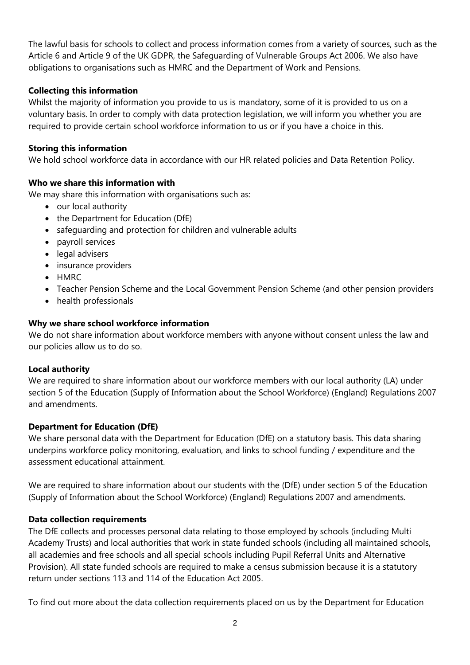The lawful basis for schools to collect and process information comes from a variety of sources, such as the Article 6 and Article 9 of the UK GDPR, the Safeguarding of Vulnerable Groups Act 2006. We also have obligations to organisations such as HMRC and the Department of Work and Pensions.

# **Collecting this information**

Whilst the majority of information you provide to us is mandatory, some of it is provided to us on a voluntary basis. In order to comply with data protection legislation, we will inform you whether you are required to provide certain school workforce information to us or if you have a choice in this.

## **Storing this information**

We hold school workforce data in accordance with our HR related policies and Data Retention Policy.

## **Who we share this information with**

We may share this information with organisations such as:

- our local authority
- the Department for Education (DfE)
- safeguarding and protection for children and vulnerable adults
- payroll services
- legal advisers
- insurance providers
- HMRC
- Teacher Pension Scheme and the Local Government Pension Scheme (and other pension providers
- health professionals

## **Why we share school workforce information**

We do not share information about workforce members with anyone without consent unless the law and our policies allow us to do so.

### **Local authority**

We are required to share information about our workforce members with our local authority (LA) under section 5 of the Education (Supply of Information about the School Workforce) (England) Regulations 2007 and amendments.

### **Department for Education (DfE)**

We share personal data with the Department for Education (DfE) on a statutory basis. This data sharing underpins workforce policy monitoring, evaluation, and links to school funding / expenditure and the assessment educational attainment.

We are required to share information about our students with the (DfE) under section 5 of the Education (Supply of Information about the School Workforce) (England) Regulations 2007 and amendments.

### **Data collection requirements**

The DfE collects and processes personal data relating to those employed by schools (including Multi Academy Trusts) and local authorities that work in state funded schools (including all maintained schools, all academies and free schools and all special schools including Pupil Referral Units and Alternative Provision). All state funded schools are required to make a census submission because it is a statutory return under sections 113 and 114 of the Education Act 2005.

To find out more about the data collection requirements placed on us by the Department for Education